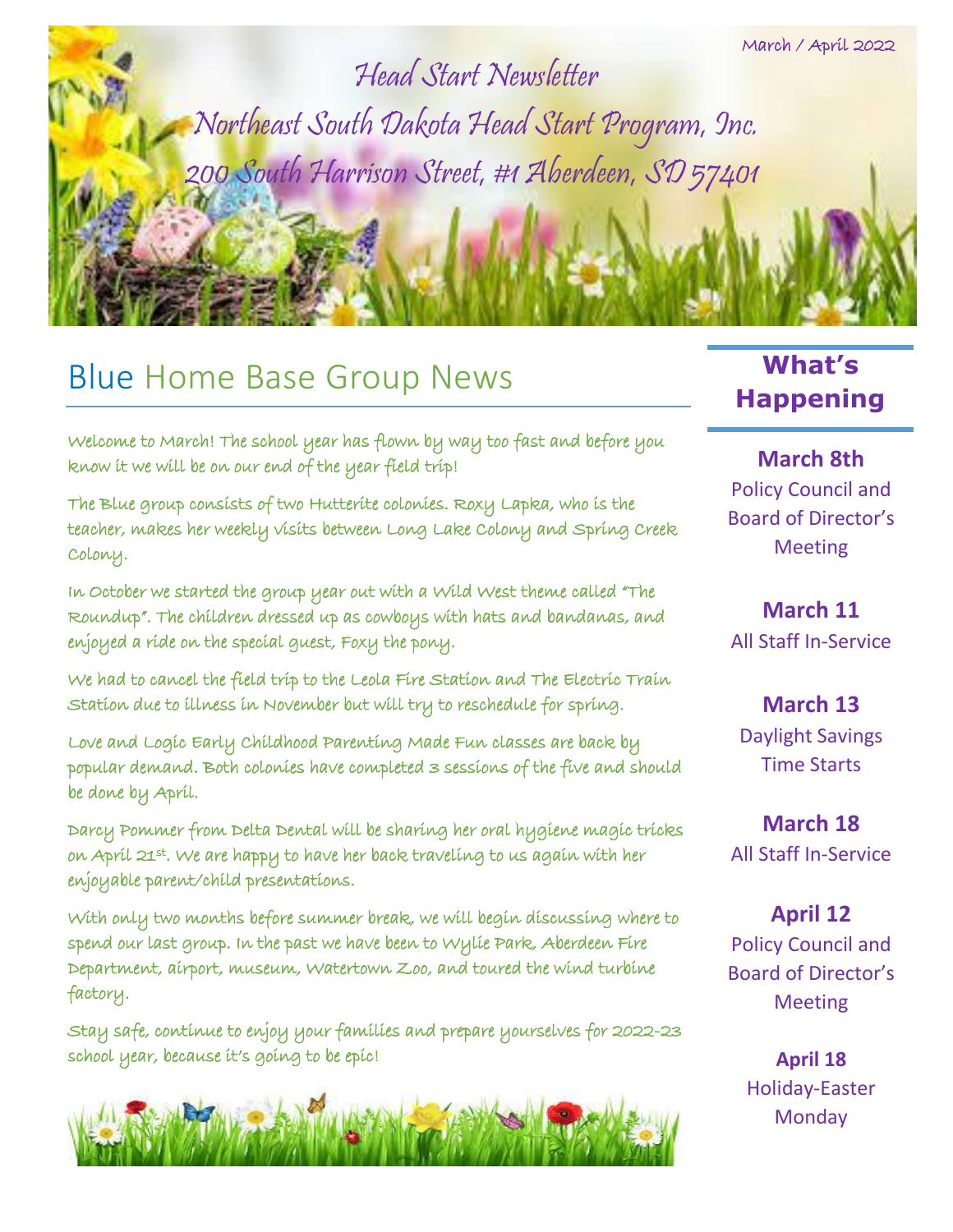

Head Start Newsletter Northeast South Dakota Head Start Program, Inc. 200 South Harrison Street, #1 Aberdeen, SD 57401

## **Blue Home Base Group News Happening**

Welcome to March! The school year has flown by way too fast and before you know it we will be on our end of the year field trip!

The Blue group consists of two Hutterite colonies. Roxy Lapka, who is the teacher, makes her weekly visits between Long Lake Colony and Spring Creek Colony.

In October we started the group year out with a Wild West theme called "The Roundup". The children dressed up as cowboys with hats and bandanas, and enjoyed a ride on the special guest, Foxy the pony.

We had to cancel the field trip to the Leola Fire Station and The Electric Train Station due to illness in November but will try to reschedule for spring.

Love and Logic Early Childhood Parenting Made Fun classes are back by popular demand. Both colonies have completed 3 sessions of the five and should be done by April.

Darcy Pommer from Delta Dental will be sharing her oral hygiene magic tricks on Apríl 21st. We are happy to have her back travelíng to us agaín wíth her enjoyable parent/child presentations.

With only two months before summer break, we will begin discussing where to spend our last group. In the past we have been to Wylie Park, Aberdeen Fire Department, airport, museum, Watertown Zoo, and toured the wind turbine factory.

Stay safe, continue to enjoy your families and prepare yourselves for 2022-23 school year, because it's going to be epic!



# **What's**

**March 8th** Policy Council and Board of Director's Meeting

**March 11** All Staff In-Service

**March 13** Daylight Savings Time Starts

**March 18** All Staff In-Service

**April 12** Policy Council and Board of Director's Meeting

> **April 18** Holiday-Easter **Monday**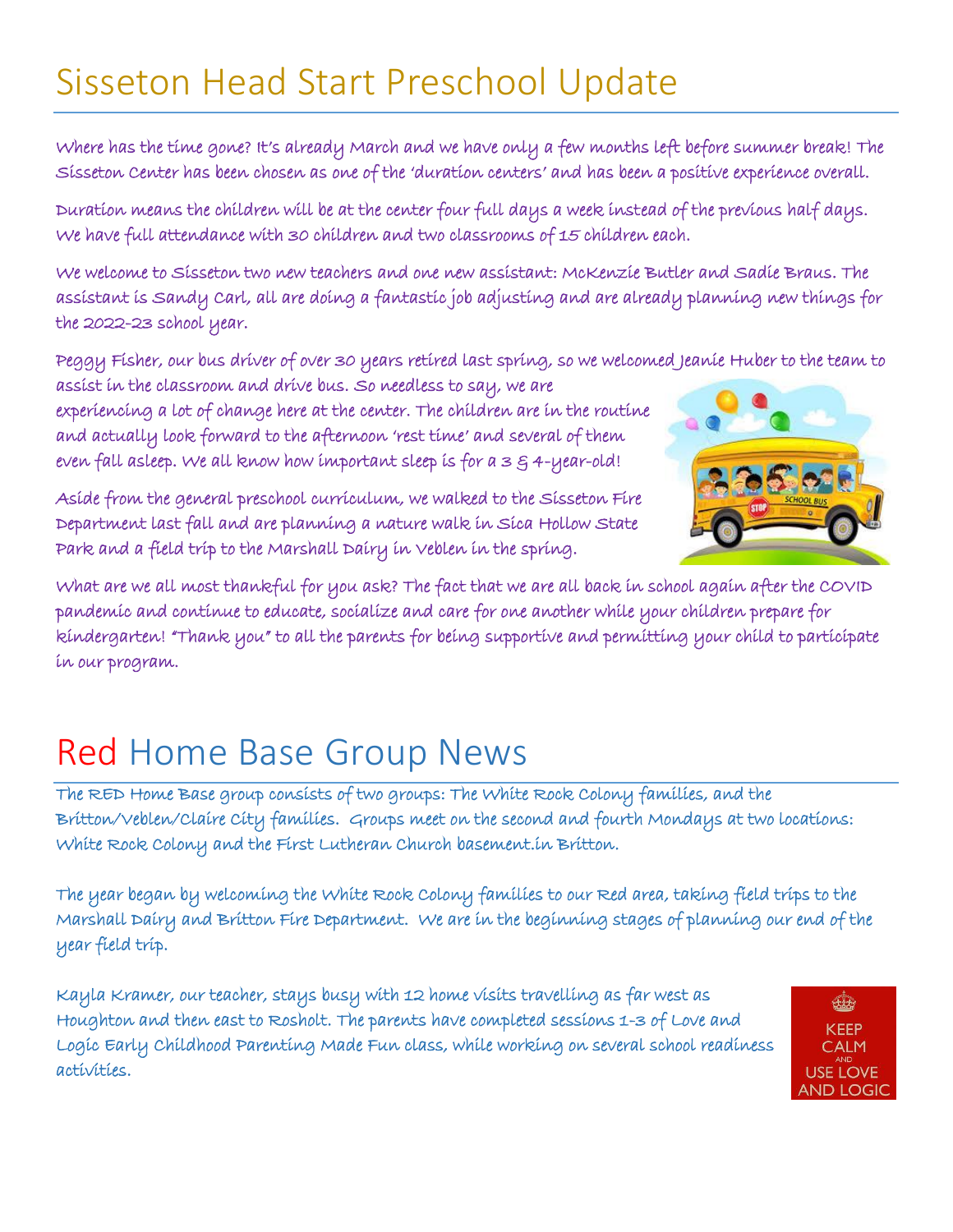#### Sisseton Head Start Preschool Update

Where has the time gone? It's already March and we have only a few months left before summer break! The Sisseton Center has been chosen as one of the 'duration centers' and has been a positive experience overall.

Duration means the children will be at the center four full days a week instead of the previous half days. We have full attendance with 30 children and two classrooms of 15 children each.

We welcome to Sisseton two new teachers and one new assistant: McKenzie Butler and Sadie Braus. The assistant is Sandy Carl, all are doing a fantastic job adjusting and are already planning new things for the 2022-23 school year.

Peggy Fisher, our bus driver of over 30 years retired last spring, so we welcomed Jeanie Huber to the team to

assist in the classroom and drive bus. So needless to say, we are experiencing a lot of change here at the center. The children are in the routine and actually look forward to the afternoon 'rest time' and several of them even fall asleep. We all know how important sleep is for  $a \leq \frac{2}{3}$  4-year-old!

Aside from the general preschool curriculum, we walked to the Sisseton Fire Department last fall and are planning a nature walk in Sica Hollow State Park and a field trip to the Marshall Dairy in Veblen in the spring.



What are we all most thankful for you ask? The fact that we are all back in school again after the COVID pandemic and continue to educate, socialize and care for one another while your children prepare for kindergarten! "Thank you" to all the parents for being supportive and permitting your child to participate in our program.

#### Red Home Base Group News

The RED Home Base group consists of two groups: The White Rock Colony families, and the Britton/Veblen/Claire City families. Groups meet on the second and fourth Mondays at two locations: White Rock Colony and the First Lutheran Church basement.in Britton.

The year began by welcoming the White Rock Colony families to our Red area, taking field trips to the Marshall Dairy and Britton Fire Department. We are in the beginning stages of planning our end of the year field trip.

Kayla Kramer, our teacher, stays busy with 12 home visits travelling as far west as Houghton and then east to Rosholt. The parents have completed sessions 1-3 of Love and Logic Early Childhood Parenting Made Fun class, while working on several school readiness activities.

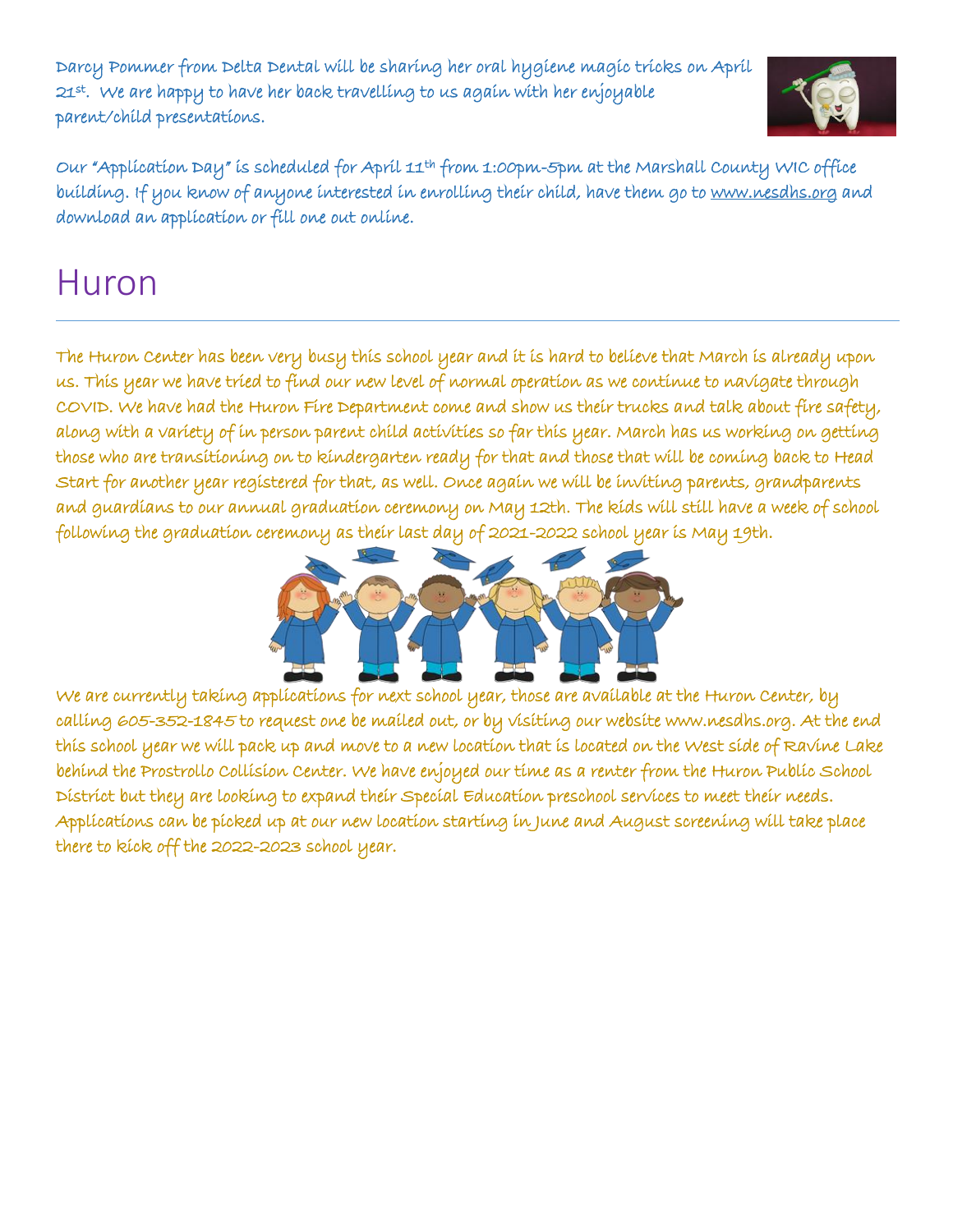Darcy Pommer from Delta Dental will be sharing her oral hygiene magic tricks on April 21st. We are happy to have her back travelling to us again with her enjoyable parent/child presentations.



Our "Application Day" is scheduled for April 11th from 1:00pm-5pm at the Marshall County WIC office building. If you know of anyone interested in enrolling their child, have them go to [www.nesdhs.org](http://www.nesdhs.org/) and download an application or fill one out online.

#### Huron

The Huron Center has been very busy this school year and it is hard to believe that March is already upon us. This year we have tried to find our new level of normal operation as we continue to navigate through COVID. We have had the Huron Fire Department come and show us their trucks and talk about fire safety, along with a variety of in person parent child activities so far this year. March has us working on getting those who are transitioning on to kindergarten ready for that and those that will be coming back to Head Start for another year registered for that, as well. Once again we will be inviting parents, grandparents and guardians to our annual graduation ceremony on May 12th. The kids will still have a week of school following the graduation ceremony as their last day of 2021-2022 school year is May 19th.



We are currently taking applications for next school year, those are available at the Huron Center, by calling 605-352-1845 to request one be mailed out, or by visiting our website www.nesdhs.org. At the end this school year we will pack up and move to a new location that is located on the West side of Ravine Lake behind the Prostrollo Collision Center. We have enjoyed our time as a renter from the Huron Public School District but they are looking to expand their Special Education preschool services to meet their needs. Applications can be picked up at our new location starting in June and August screening will take place there to kick off the 2022-2023 school year.